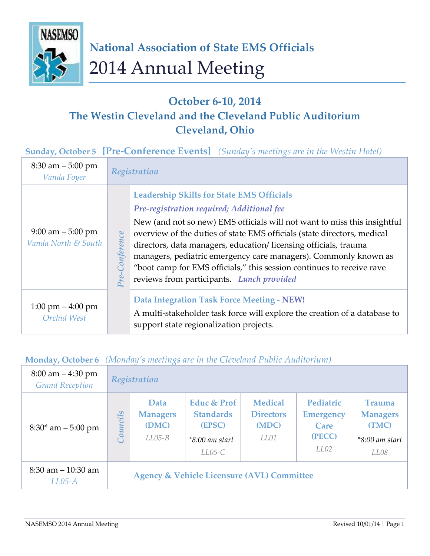

# **October 6-10, 2014 The Westin Cleveland and the Cleveland Public Auditorium Cleveland, Ohio**

#### **Sunday, October 5 [Pre-Conference Events]** *(Sunday's meetings are in the Westin Hotel)*

| $8:30$ am $-5:00$ pm<br>Vanda Foyer                |           | Registration                                                                                                                                                                                                                                                                                                                                                                                                                                                                                                     |  |  |
|----------------------------------------------------|-----------|------------------------------------------------------------------------------------------------------------------------------------------------------------------------------------------------------------------------------------------------------------------------------------------------------------------------------------------------------------------------------------------------------------------------------------------------------------------------------------------------------------------|--|--|
| $9:00$ am $-5:00$ pm<br>Vanda North & South        | onference | <b>Leadership Skills for State EMS Officials</b><br>Pre-registration required; Additional fee<br>New (and not so new) EMS officials will not want to miss this insightful<br>overview of the duties of state EMS officials (state directors, medical<br>directors, data managers, education/licensing officials, trauma<br>managers, pediatric emergency care managers). Commonly known as<br>"boot camp for EMS officials," this session continues to receive rave<br>reviews from participants. Lunch provided |  |  |
| $1:00 \text{ pm} - 4:00 \text{ pm}$<br>Orchid West |           | <b>Data Integration Task Force Meeting - NEW!</b><br>A multi-stakeholder task force will explore the creation of a database to<br>support state regionalization projects.                                                                                                                                                                                                                                                                                                                                        |  |  |

#### **Monday, October 6** *(Monday's meetings are in the Cleveland Public Auditorium)*

| $8:00$ am $-4:30$ pm<br><b>Grand Reception</b> | Registration             |                                              |                                                                                      |                                                     |                                                         |                                                                       |
|------------------------------------------------|--------------------------|----------------------------------------------|--------------------------------------------------------------------------------------|-----------------------------------------------------|---------------------------------------------------------|-----------------------------------------------------------------------|
| $8:30^*$ am $-5:00$ pm                         | cils<br>$\sum_{i=1}^{n}$ | Data<br><b>Managers</b><br>(DMC)<br>$LLO5-B$ | <b>Educ &amp; Prof</b><br><b>Standards</b><br>(EPSC)<br>$*8:00$ am start<br>$LLO5-C$ | <b>Medical</b><br><b>Directors</b><br>(MDC)<br>LL01 | Pediatric<br><b>Emergency</b><br>Care<br>(PECC)<br>LL02 | <b>Trauma</b><br><b>Managers</b><br>(TMC)<br>$*8:00$ am start<br>LL08 |
| $8:30$ am $-10:30$ am<br>$LL05-A$              |                          |                                              | <b>Agency &amp; Vehicle Licensure (AVL) Committee</b>                                |                                                     |                                                         |                                                                       |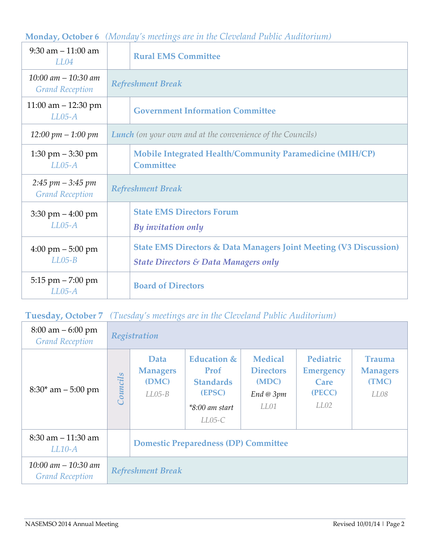#### **Monday, October 6** *(Monday's meetings are in the Cleveland Public Auditorium)*

| $9:30$ am $-11:00$ am<br>LL04                                     | <b>Rural EMS Committee</b>                                                                                                      |  |  |
|-------------------------------------------------------------------|---------------------------------------------------------------------------------------------------------------------------------|--|--|
| $10:00$ am $-10:30$ am<br><b>Grand Reception</b>                  | <b>Refreshment Break</b>                                                                                                        |  |  |
| 11:00 am $-$ 12:30 pm<br>$LL05-A$                                 | <b>Government Information Committee</b>                                                                                         |  |  |
| $12:00 \; pm - 1:00 \; pm$                                        | <b>Lunch</b> (on your own and at the convenience of the Councils)                                                               |  |  |
| $1:30 \text{ pm} - 3:30 \text{ pm}$<br>$LL05-A$                   | <b>Mobile Integrated Health/Community Paramedicine (MIH/CP)</b><br><b>Committee</b>                                             |  |  |
| $2:45 \, \text{pm} - 3:45 \, \text{pm}$<br><b>Grand Reception</b> | <b>Refreshment Break</b>                                                                                                        |  |  |
| $3:30 \text{ pm} - 4:00 \text{ pm}$<br>$LL05-A$                   | <b>State EMS Directors Forum</b><br>By invitation only                                                                          |  |  |
| $4:00 \text{ pm} - 5:00 \text{ pm}$<br>$LLO5-B$                   | <b>State EMS Directors &amp; Data Managers Joint Meeting (V3 Discussion)</b><br><b>State Directors &amp; Data Managers only</b> |  |  |
| $5:15$ pm $- 7:00$ pm<br>$LL05-A$                                 | <b>Board of Directors</b>                                                                                                       |  |  |

## **Tuesday, October 7** *(Tuesday's meetings are in the Cleveland Public Auditorium)*

| $8:00 \text{ am} - 6:00 \text{ pm}$<br><b>Grand Reception</b> | Registration             |                                              |                                                                                              |                                                                          |                                                         |                                                   |
|---------------------------------------------------------------|--------------------------|----------------------------------------------|----------------------------------------------------------------------------------------------|--------------------------------------------------------------------------|---------------------------------------------------------|---------------------------------------------------|
| $8:30^*$ am $-5:00$ pm                                        | Councils                 | Data<br><b>Managers</b><br>(DMC)<br>$LLO5-B$ | <b>Education &amp;</b><br>Prof<br><b>Standards</b><br>(EPSC)<br>$*8:00$ am start<br>$LLO5-C$ | <b>Medical</b><br><b>Directors</b><br>(MDC)<br>$End \otimes 3pm$<br>LL01 | Pediatric<br><b>Emergency</b><br>Care<br>(PECC)<br>LL02 | <b>Trauma</b><br><b>Managers</b><br>(TMC)<br>LL08 |
| $8:30$ am $-11:30$ am<br>$LL10-A$                             |                          | <b>Domestic Preparedness (DP) Committee</b>  |                                                                                              |                                                                          |                                                         |                                                   |
| $10:00$ am $-10:30$ am<br><b>Grand Reception</b>              | <b>Refreshment Break</b> |                                              |                                                                                              |                                                                          |                                                         |                                                   |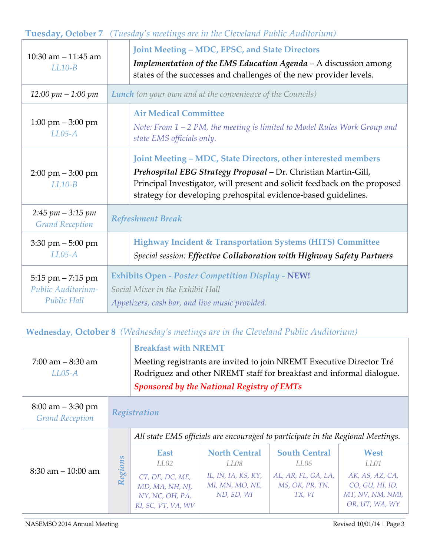## **Tuesday, October 7** *(Tuesday's meetings are in the Cleveland Public Auditorium)*

| 10:30 am $-$ 11:45 am<br>$LL10-B$                                 | Joint Meeting – MDC, EPSC, and State Directors<br>Implementation of the EMS Education Agenda - A discussion among<br>states of the successes and challenges of the new provider levels.                                                                                         |  |  |
|-------------------------------------------------------------------|---------------------------------------------------------------------------------------------------------------------------------------------------------------------------------------------------------------------------------------------------------------------------------|--|--|
| $12:00 \, pm - 1:00 \, pm$                                        | <b>Lunch</b> (on your own and at the convenience of the Councils)                                                                                                                                                                                                               |  |  |
| $1:00 \text{ pm} - 3:00 \text{ pm}$<br>$LL05-A$                   | <b>Air Medical Committee</b><br>Note: From $1 - 2$ PM, the meeting is limited to Model Rules Work Group and<br>state EMS officials only.                                                                                                                                        |  |  |
| $2:00 \text{ pm} - 3:00 \text{ pm}$<br>$LL10-B$                   | Joint Meeting – MDC, State Directors, other interested members<br>Prehospital EBG Strategy Proposal - Dr. Christian Martin-Gill,<br>Principal Investigator, will present and solicit feedback on the proposed<br>strategy for developing prehospital evidence-based guidelines. |  |  |
| $2:45$ pm $-3:15$ pm<br><b>Grand Reception</b>                    | <b>Refreshment Break</b>                                                                                                                                                                                                                                                        |  |  |
| $3:30 \text{ pm} - 5:00 \text{ pm}$<br>$LL05-A$                   | Highway Incident & Transportation Systems (HITS) Committee<br>Special session: Effective Collaboration with Highway Safety Partners                                                                                                                                             |  |  |
| $5:15$ pm $- 7:15$ pm<br>Public Auditorium-<br><b>Public Hall</b> | <b>Exhibits Open - Poster Competition Display - NEW!</b><br>Social Mixer in the Exhibit Hall<br>Appetizers, cash bar, and live music provided.                                                                                                                                  |  |  |

#### **Wednesday**, **October 8** *(Wednesday's meetings are in the Cleveland Public Auditorium)*

| $7:00$ am $-8:30$ am<br>$LL05-A$               |              | <b>Breakfast with NREMT</b><br>Meeting registrants are invited to join NREMT Executive Director Tré<br>Rodriguez and other NREMT staff for breakfast and informal dialogue.<br><b>Sponsored by the National Registry of EMTs</b> |                                                                                      |                                                                                  |                                                                                          |  |
|------------------------------------------------|--------------|----------------------------------------------------------------------------------------------------------------------------------------------------------------------------------------------------------------------------------|--------------------------------------------------------------------------------------|----------------------------------------------------------------------------------|------------------------------------------------------------------------------------------|--|
| $8:00$ am $-3:30$ pm<br><b>Grand Reception</b> | Registration |                                                                                                                                                                                                                                  |                                                                                      |                                                                                  |                                                                                          |  |
|                                                |              | All state EMS officials are encouraged to participate in the Regional Meetings.                                                                                                                                                  |                                                                                      |                                                                                  |                                                                                          |  |
| $8:30$ am $-10:00$ am                          | Regions      | East<br>LL02<br>CT, DE, DC, ME,<br>MD, MA, NH, NJ,<br>NY, NC, OH, PA,<br>RI, SC, VT, VA, WV                                                                                                                                      | <b>North Central</b><br>LL08<br>IL, IN, IA, KS, KY,<br>MI, MN, MO, NE,<br>ND, SD, WI | <b>South Central</b><br>LL06<br>AL, AR, FL, GA, LA,<br>MS, OK, PR, TN,<br>TX, VI | West<br>LL01<br>AK, AS, AZ, CA,<br>CO, GU, HI, ID,<br>MT, NV, NM, NMI,<br>OR, UT, WA, WY |  |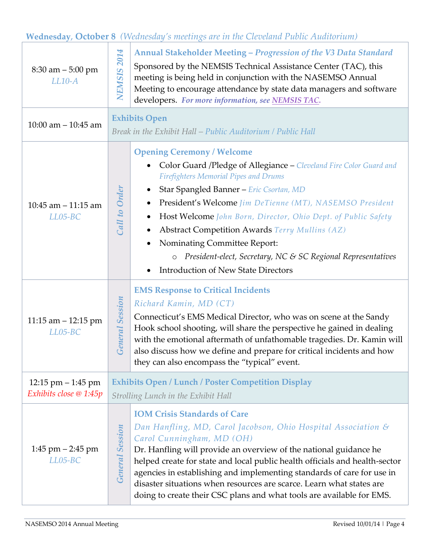## **Wednesday**, **October 8** *(Wednesday's meetings are in the Cleveland Public Auditorium)*

| $8:30$ am $-5:00$ pm<br>$LL10-A$                            | <b>NEMSIS 2014</b>                                                                                                                                                                                                                                                                                                                                                                                                                             | Annual Stakeholder Meeting - Progression of the V3 Data Standard<br>Sponsored by the NEMSIS Technical Assistance Center (TAC), this<br>meeting is being held in conjunction with the NASEMSO Annual<br>Meeting to encourage attendance by state data managers and software<br>developers. For more information, see NEMSIS TAC.                                                                                                                                                                                                                                             |  |  |  |
|-------------------------------------------------------------|------------------------------------------------------------------------------------------------------------------------------------------------------------------------------------------------------------------------------------------------------------------------------------------------------------------------------------------------------------------------------------------------------------------------------------------------|-----------------------------------------------------------------------------------------------------------------------------------------------------------------------------------------------------------------------------------------------------------------------------------------------------------------------------------------------------------------------------------------------------------------------------------------------------------------------------------------------------------------------------------------------------------------------------|--|--|--|
| 10:00 am $-$ 10:45 am                                       |                                                                                                                                                                                                                                                                                                                                                                                                                                                | <b>Exhibits Open</b><br>Break in the Exhibit Hall – Public Auditorium / Public Hall                                                                                                                                                                                                                                                                                                                                                                                                                                                                                         |  |  |  |
| 10:45 am $-$ 11:15 am<br>$LLO5-BC$                          | Call to Orden                                                                                                                                                                                                                                                                                                                                                                                                                                  | <b>Opening Ceremony / Welcome</b><br>Color Guard /Pledge of Allegiance - Cleveland Fire Color Guard and<br><b>Firefighters Memorial Pipes and Drums</b><br>Star Spangled Banner - Eric Csortan, MD<br>$\bullet$<br>President's Welcome Jim DeTienne (MT), NASEMSO President<br>Host Welcome John Born, Director, Ohio Dept. of Public Safety<br>$\bullet$<br><b>Abstract Competition Awards Terry Mullins (AZ)</b><br>Nominating Committee Report:<br>President-elect, Secretary, NC & SC Regional Representatives<br>$\circ$<br><b>Introduction of New State Directors</b> |  |  |  |
| 11:15 am $-$ 12:15 pm<br>$LLO5-BC$                          | <b>EMS Response to Critical Incidents</b><br><b>General Session</b><br>Richard Kamin, MD (CT)<br>Connecticut's EMS Medical Director, who was on scene at the Sandy<br>Hook school shooting, will share the perspective he gained in dealing<br>with the emotional aftermath of unfathomable tragedies. Dr. Kamin will<br>also discuss how we define and prepare for critical incidents and how<br>they can also encompass the "typical" event. |                                                                                                                                                                                                                                                                                                                                                                                                                                                                                                                                                                             |  |  |  |
| 12:15 pm $-1:45$ pm<br>Exhibits close @ 1:45p               | <b>Exhibits Open / Lunch / Poster Competition Display</b><br>Strolling Lunch in the Exhibit Hall                                                                                                                                                                                                                                                                                                                                               |                                                                                                                                                                                                                                                                                                                                                                                                                                                                                                                                                                             |  |  |  |
| <b>General Session</b><br>$1:45$ pm $-2:45$ pm<br>$LLO5-BC$ |                                                                                                                                                                                                                                                                                                                                                                                                                                                | <b>IOM Crisis Standards of Care</b><br>Dan Hanfling, MD, Carol Jacobson, Ohio Hospital Association &<br>Carol Cunningham, MD (OH)<br>Dr. Hanfling will provide an overview of the national guidance he<br>helped create for state and local public health officials and health-sector<br>agencies in establishing and implementing standards of care for use in<br>disaster situations when resources are scarce. Learn what states are<br>doing to create their CSC plans and what tools are available for EMS.                                                            |  |  |  |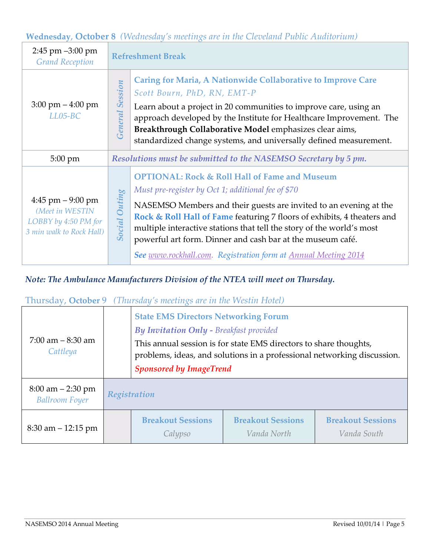### **Wednesday**, **October 8** *(Wednesday's meetings are in the Cleveland Public Auditorium)*

| $2:45$ pm $-3:00$ pm<br><b>Grand Reception</b>                                              |                        | <b>Refreshment Break</b>                                                                                                                                                                                                                                                                                                                                                                                                                                                              |  |  |
|---------------------------------------------------------------------------------------------|------------------------|---------------------------------------------------------------------------------------------------------------------------------------------------------------------------------------------------------------------------------------------------------------------------------------------------------------------------------------------------------------------------------------------------------------------------------------------------------------------------------------|--|--|
| $3:00 \text{ pm} - 4:00 \text{ pm}$<br>$LLO5-BC$                                            | <b>General Session</b> | <b>Caring for Maria, A Nationwide Collaborative to Improve Care</b><br>Scott Bourn, PhD, RN, EMT-P<br>Learn about a project in 20 communities to improve care, using an<br>approach developed by the Institute for Healthcare Improvement. The<br>Breakthrough Collaborative Model emphasizes clear aims,<br>standardized change systems, and universally defined measurement.                                                                                                        |  |  |
| $5:00 \text{ pm}$                                                                           |                        | Resolutions must be submitted to the NASEMSO Secretary by 5 pm.                                                                                                                                                                                                                                                                                                                                                                                                                       |  |  |
| $4:45$ pm $-9:00$ pm<br>(Meet in WESTIN<br>LOBBY by 4:50 PM for<br>3 min walk to Rock Hall) | <b>Social Outing</b>   | <b>OPTIONAL: Rock &amp; Roll Hall of Fame and Museum</b><br>Must pre-register by Oct 1; additional fee of \$70<br>NASEMSO Members and their guests are invited to an evening at the<br>Rock & Roll Hall of Fame featuring 7 floors of exhibits, 4 theaters and<br>multiple interactive stations that tell the story of the world's most<br>powerful art form. Dinner and cash bar at the museum café.<br><b>See www.rockhall.com.</b> Registration form at <b>Annual Meeting 2014</b> |  |  |

#### *Note: The Ambulance Manufacturers Division of the NTEA will meet on Thursday.*

#### Thursday, **October** 9*(Thursday's meetings are in the Westin Hotel)*

| $7:00$ am $-8:30$ am<br>Cattleya                             | <b>State EMS Directors Networking Forum</b><br><b>By Invitation Only - Breakfast provided</b><br>This annual session is for state EMS directors to share thoughts,<br>problems, ideas, and solutions in a professional networking discussion.<br><b>Sponsored by ImageTrend</b> |                                         |                                         |  |  |
|--------------------------------------------------------------|---------------------------------------------------------------------------------------------------------------------------------------------------------------------------------------------------------------------------------------------------------------------------------|-----------------------------------------|-----------------------------------------|--|--|
| $8:00 \text{ am} - 2:30 \text{ pm}$<br><b>Ballroom Foyer</b> | Registration                                                                                                                                                                                                                                                                    |                                         |                                         |  |  |
| $8:30$ am $-12:15$ pm                                        | <b>Breakout Sessions</b><br>Calypso                                                                                                                                                                                                                                             | <b>Breakout Sessions</b><br>Vanda North | <b>Breakout Sessions</b><br>Vanda South |  |  |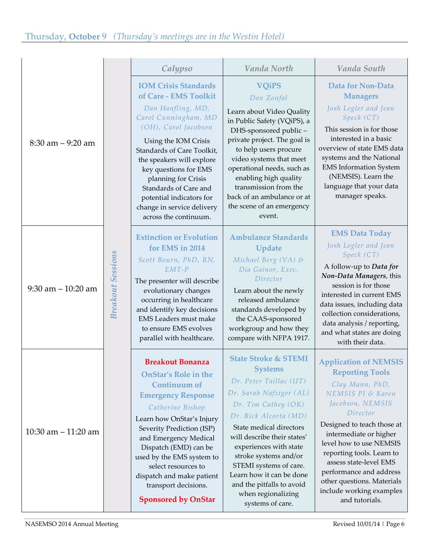|                       |                          |                                                    | Vanda North                                            | Vanda South                                               |
|-----------------------|--------------------------|----------------------------------------------------|--------------------------------------------------------|-----------------------------------------------------------|
|                       |                          | Calypso                                            |                                                        |                                                           |
|                       |                          | <b>IOM Crisis Standards</b>                        | <b>VQiPS</b>                                           | Data for Non-Data                                         |
|                       |                          | of Care - EMS Toolkit                              | Don Zoufal                                             | <b>Managers</b>                                           |
|                       |                          | Dan Hanfling, MD,                                  | Learn about Video Quality                              | Josh Legler and Jean                                      |
|                       |                          | Carol Cunningham, MD<br>(OH), Carol Jacobson       | in Public Safety (VQiPS), a                            | Speck (CT)                                                |
|                       |                          |                                                    | DHS-sponsored public-                                  | This session is for those<br>interested in a basic        |
| $8:30$ am $-9:20$ am  |                          | Using the IOM Crisis<br>Standards of Care Toolkit, | private project. The goal is<br>to help users procure  | overview of state EMS data                                |
|                       |                          | the speakers will explore                          | video systems that meet                                | systems and the National                                  |
|                       |                          | key questions for EMS                              | operational needs, such as                             | <b>EMS</b> Information System                             |
|                       |                          | planning for Crisis                                | enabling high quality<br>transmission from the         | (NEMSIS). Learn the<br>language that your data            |
|                       |                          | Standards of Care and<br>potential indicators for  | back of an ambulance or at                             | manager speaks.                                           |
|                       |                          | change in service delivery                         | the scene of an emergency                              |                                                           |
|                       |                          | across the continuum.                              | event.                                                 |                                                           |
|                       |                          | <b>Extinction or Evolution</b>                     | <b>Ambulance Standards</b>                             | <b>EMS Data Today</b>                                     |
|                       |                          | for EMS in 2014                                    | Update                                                 | Josh Legler and Jean                                      |
|                       |                          | Scott Bourn, PhD, RN,                              | Michael Berg (VA) $\mathcal{E}$                        | Speck (CT)                                                |
|                       |                          | $EMT-P$                                            | Dia Gainor, Exec.                                      | A follow-up to Data for<br>Non-Data Managers, this        |
|                       |                          | The presenter will describe                        | Director                                               | session is for those                                      |
| $9:30$ am $-10:20$ am |                          | evolutionary changes<br>occurring in healthcare    | Learn about the newly<br>released ambulance            | interested in current EMS                                 |
|                       | <b>Breakout Sessions</b> | and identify key decisions                         | standards developed by                                 | data issues, including data<br>collection considerations, |
|                       |                          | <b>EMS</b> Leaders must make                       | the CAAS-sponsored                                     | data analysis / reporting,                                |
|                       |                          | to ensure EMS evolves                              | workgroup and how they<br>compare with NFPA 1917.      | and what states are doing                                 |
|                       |                          | parallel with healthcare.                          |                                                        | with their data.                                          |
|                       |                          | <b>Breakout Bonanza</b>                            | <b>State Stroke &amp; STEMI</b>                        | <b>Application of NEMSIS</b>                              |
|                       |                          | <b>OnStar's Role in the</b>                        | <b>Systems</b>                                         | <b>Reporting Tools</b>                                    |
|                       |                          | <b>Continuum of</b>                                | Dr. Peter Taillac (UT)                                 | Clay Mann, PhD,                                           |
|                       |                          | <b>Emergency Response</b>                          | Dr. Sarah Nafziger (AL)                                | NEMSIS PI & Karen                                         |
|                       |                          | Catherine Bishop                                   | $Dr.$ Tim Cathey $(OK)$                                | Jacobson, NEMSIS<br>Director                              |
| 10:30 am $-$ 11:20 am |                          | Learn how OnStar's Injury                          | Dr. Rick Alcorta (MD)                                  | Designed to teach those at                                |
|                       |                          | Severity Prediction (ISP)<br>and Emergency Medical | State medical directors<br>will describe their states' | intermediate or higher                                    |
|                       |                          | Dispatch (EMD) can be                              | experiences with state                                 | level how to use NEMSIS                                   |
|                       |                          | used by the EMS system to                          | stroke systems and/or                                  | reporting tools. Learn to<br>assess state-level EMS       |
|                       |                          | select resources to                                | STEMI systems of care.<br>Learn how it can be done     | performance and address                                   |
|                       |                          | dispatch and make patient<br>transport decisions.  | and the pitfalls to avoid                              | other questions. Materials                                |
|                       |                          | <b>Sponsored by OnStar</b>                         | when regionalizing<br>systems of care.                 | include working examples<br>and tutorials.                |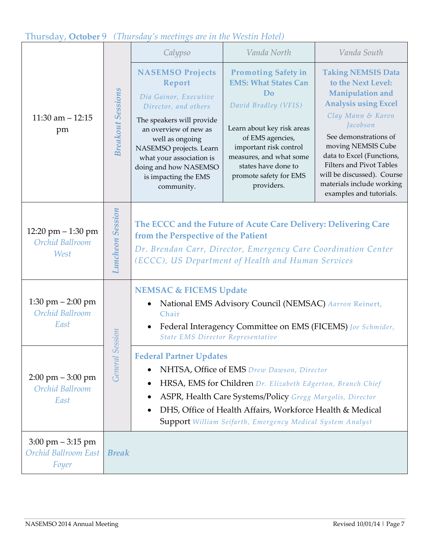## Thursday, **October** 9*(Thursday's meetings are in the Westin Hotel)*

|                                                                      |                          | Calypso                                                                                                                                                                                                                                                                           | Vanda North                                                                                                                                                                                                                                                                                              | Vanda South                                                                                                                                                                                                                                                                                                                              |  |
|----------------------------------------------------------------------|--------------------------|-----------------------------------------------------------------------------------------------------------------------------------------------------------------------------------------------------------------------------------------------------------------------------------|----------------------------------------------------------------------------------------------------------------------------------------------------------------------------------------------------------------------------------------------------------------------------------------------------------|------------------------------------------------------------------------------------------------------------------------------------------------------------------------------------------------------------------------------------------------------------------------------------------------------------------------------------------|--|
| 11:30 am $- 12:15$<br>pm                                             | <b>Breakout Sessions</b> | <b>NASEMSO Projects</b><br>Report<br>Dia Gainor, Executive<br>Director, and others<br>The speakers will provide<br>an overview of new as<br>well as ongoing<br>NASEMSO projects. Learn<br>what your association is<br>doing and how NASEMSO<br>is impacting the EMS<br>community. | <b>Promoting Safety in</b><br><b>EMS: What States Can</b><br>D <sub>o</sub><br>David Bradley (VFIS)<br>Learn about key risk areas<br>of EMS agencies,<br>important risk control<br>measures, and what some<br>states have done to<br>promote safety for EMS<br>providers.                                | <b>Taking NEMSIS Data</b><br>to the Next Level:<br>Manipulation and<br><b>Analysis using Excel</b><br>Clay Mann & Karen<br>Jacobson<br>See demonstrations of<br>moving NEMSIS Cube<br>data to Excel (Functions,<br><b>Filters and Pivot Tables</b><br>will be discussed). Course<br>materials include working<br>examples and tutorials. |  |
| 12:20 pm - 1:30 pm<br>Orchid Ballroom<br>West                        | <b>Luncheon Sessiom</b>  | The ECCC and the Future of Acute Care Delivery: Delivering Care<br>from the Perspective of the Patient<br>Dr. Brendan Carr, Director, Emergency Care Coordination Center<br>(ECCC), US Department of Health and Human Services                                                    |                                                                                                                                                                                                                                                                                                          |                                                                                                                                                                                                                                                                                                                                          |  |
| $1:30$ pm $-2:00$ pm<br>Orchid Ballroom<br>East                      | Session                  | <b>NEMSAC &amp; FICEMS Update</b><br>Chair<br><b>State EMS Director Representative</b>                                                                                                                                                                                            | National EMS Advisory Council (NEMSAC) Aarron Reinert,<br>Federal Interagency Committee on EMS (FICEMS) Joe Schmider,                                                                                                                                                                                    |                                                                                                                                                                                                                                                                                                                                          |  |
| $2:00 \text{ pm} - 3:00 \text{ pm}$<br>Orchid Ballroom<br>East       | General                  | <b>Federal Partner Updates</b>                                                                                                                                                                                                                                                    | NHTSA, Office of EMS Drew Dawson, Director<br>HRSA, EMS for Children Dr. Elizabeth Edgerton, Branch Chief<br>ASPR, Health Care Systems/Policy Gregg Margolis, Director<br>DHS, Office of Health Affairs, Workforce Health & Medical<br><b>Support</b> William Seifarth, Emergency Medical System Analyst |                                                                                                                                                                                                                                                                                                                                          |  |
| $3:00 \text{ pm} - 3:15 \text{ pm}$<br>Orchid Ballroom East<br>Foyer | <b>Break</b>             |                                                                                                                                                                                                                                                                                   |                                                                                                                                                                                                                                                                                                          |                                                                                                                                                                                                                                                                                                                                          |  |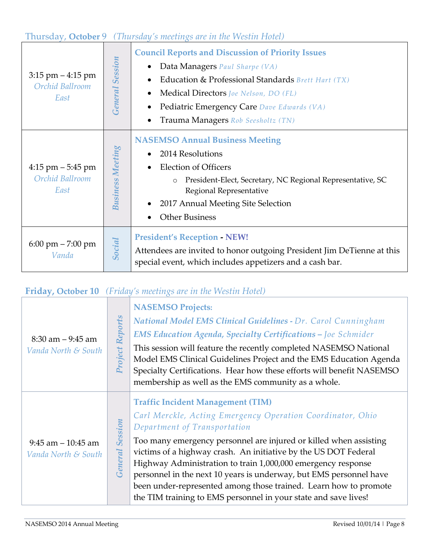## Thursday, **October** 9*(Thursday's meetings are in the Westin Hotel)*

| $3:15$ pm $-4:15$ pm<br>Orchid Ballroom<br>East | <b>General Session</b>  | <b>Council Reports and Discussion of Priority Issues</b><br>Data Managers Paul Sharpe (VA)<br>Education & Professional Standards Brett Hart (TX)<br><b>Medical Directors</b> <i>Joe Nelson, DO (FL)</i><br>Pediatric Emergency Care Dave Edwards (VA)<br>Trauma Managers Rob Seesholtz (TN) |
|-------------------------------------------------|-------------------------|---------------------------------------------------------------------------------------------------------------------------------------------------------------------------------------------------------------------------------------------------------------------------------------------|
| $4:15$ pm $-5:45$ pm<br>Orchid Ballroom<br>East | <b>Business Meeting</b> | <b>NASEMSO Annual Business Meeting</b><br>2014 Resolutions<br><b>Election of Officers</b><br>President-Elect, Secretary, NC Regional Representative, SC<br>$\circ$<br>Regional Representative<br>2017 Annual Meeting Site Selection<br><b>Other Business</b>                                |
| $6:00 \text{ pm} - 7:00 \text{ pm}$<br>Vanda    | Social                  | <b>President's Reception - NEW!</b><br>Attendees are invited to honor outgoing President Jim DeTienne at this<br>special event, which includes appetizers and a cash bar.                                                                                                                   |

## **Friday, October 10** *(Friday's meetings are in the Westin Hotel)*

| $8:30$ am $-9:45$ am<br>Vanda North & South  | Project Reports           | <b>NASEMSO Projects:</b><br>National Model EMS Clinical Guidelines - Dr. Carol Cunningham<br><b>EMS Education Agenda, Specialty Certifications - Joe Schmider</b><br>This session will feature the recently completed NASEMSO National<br>Model EMS Clinical Guidelines Project and the EMS Education Agenda<br>Specialty Certifications. Hear how these efforts will benefit NASEMSO<br>membership as well as the EMS community as a whole.                                                                                                                |
|----------------------------------------------|---------------------------|-------------------------------------------------------------------------------------------------------------------------------------------------------------------------------------------------------------------------------------------------------------------------------------------------------------------------------------------------------------------------------------------------------------------------------------------------------------------------------------------------------------------------------------------------------------|
| $9:45$ am $-10:45$ am<br>Vanda North & South | <b>Session</b><br>General | <b>Traffic Incident Management (TIM)</b><br>Carl Merckle, Acting Emergency Operation Coordinator, Ohio<br>Department of Transportation<br>Too many emergency personnel are injured or killed when assisting<br>victims of a highway crash. An initiative by the US DOT Federal<br>Highway Administration to train 1,000,000 emergency response<br>personnel in the next 10 years is underway, but EMS personnel have<br>been under-represented among those trained. Learn how to promote<br>the TIM training to EMS personnel in your state and save lives! |